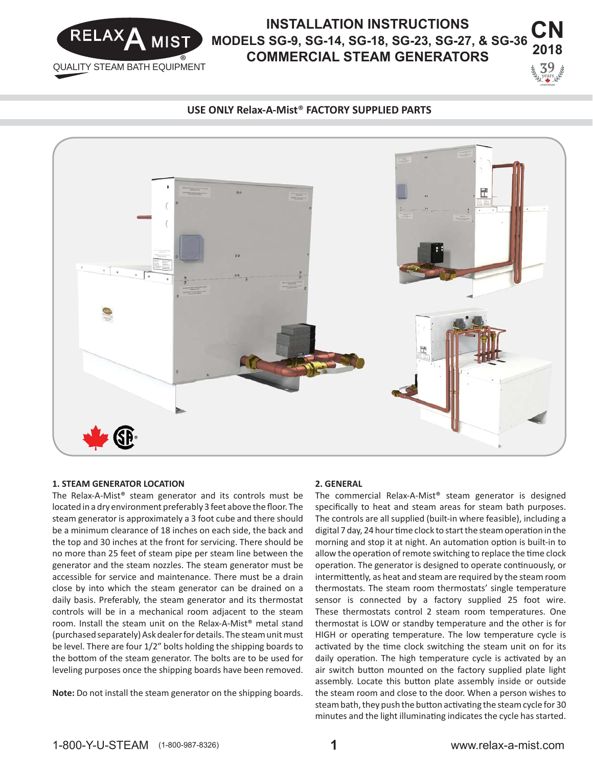

#### **CN 2018 9 INSTALLATION INSTRUCTIONS MODELS SG-9, SG-14, SG-18, SG-23, SG-27, & SG-36 COMMERCIAL STEAM GENERATORS**

#### **USE ONLY Relax-A-Mist**® **FACTORY SUPPLIED PARTS**



#### **1. STEAM GENERATOR LOCATION**

The Relax-A-Mist® steam generator and its controls must be located in a dry environment preferably 3 feet above the floor. The steam generator is approximately a 3 foot cube and there should be a minimum clearance of 18 inches on each side, the back and the top and 30 inches at the front for servicing. There should be no more than 25 feet of steam pipe per steam line between the generator and the steam nozzles. The steam generator must be accessible for service and maintenance. There must be a drain close by into which the steam generator can be drained on a daily basis. Preferably, the steam generator and its thermostat controls will be in a mechanical room adjacent to the steam room. Install the steam unit on the Relax-A-Mist® metal stand (purchased separately) Ask dealer for details. The steam unit must be level. There are four 1/2" bolts holding the shipping boards to the bottom of the steam generator. The bolts are to be used for leveling purposes once the shipping boards have been removed.

**Note:** Do not install the steam generator on the shipping boards.

#### **2. GENERAL**

The commercial Relax-A-Mist® steam generator is designed specifically to heat and steam areas for steam bath purposes. The controls are all supplied (built-in where feasible), including a digital 7 day, 24 hour time clock to start the steam operation in the morning and stop it at night. An automation option is built-in to allow the operation of remote switching to replace the time clock operation. The generator is designed to operate continuously, or intermittently, as heat and steam are required by the steam room thermostats. The steam room thermostats' single temperature sensor is connected by a factory supplied 25 foot wire. These thermostats control 2 steam room temperatures. One thermostat is LOW or standby temperature and the other is for HIGH or operating temperature. The low temperature cycle is activated by the time clock switching the steam unit on for its daily operation. The high temperature cycle is activated by an air switch button mounted on the factory supplied plate light assembly. Locate this button plate assembly inside or outside the steam room and close to the door. When a person wishes to steam bath, they push the button activating the steam cycle for 30 minutes and the light illuminating indicates the cycle has started.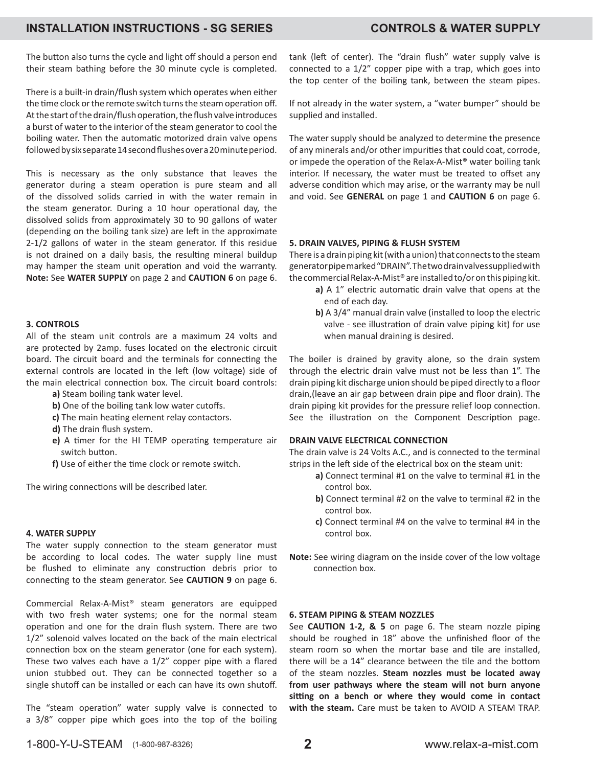### **INSTALLATION INSTRUCTIONS - SG SERIES CONTROLS & WATER SUPPLY**

The button also turns the cycle and light off should a person end their steam bathing before the 30 minute cycle is completed.

There is a built-in drain/flush system which operates when either the time clock or the remote switch turns the steam operation off. At the start of the drain/flush operation, the flush valve introduces a burst of water to the interior of the steam generator to cool the boiling water. Then the automatic motorized drain valve opens followed by six separate 14 second flushes over a 20 minute period.

This is necessary as the only substance that leaves the generator during a steam operation is pure steam and all of the dissolved solids carried in with the water remain in the steam generator. During a 10 hour operational day, the dissolved solids from approximately 30 to 90 gallons of water (depending on the boiling tank size) are left in the approximate 2-1/2 gallons of water in the steam generator. If this residue is not drained on a daily basis, the resulting mineral buildup may hamper the steam unit operation and void the warranty. **Note:** See **WATER SUPPLY** on page 2 and **CAUTION 6** on page 6.

#### **3. CONTROLS**

All of the steam unit controls are a maximum 24 volts and are protected by 2amp. fuses located on the electronic circuit board. The circuit board and the terminals for connecting the external controls are located in the left (low voltage) side of the main electrical connection box. The circuit board controls:

- **a)** Steam boiling tank water level.
- **b)** One of the boiling tank low water cutoffs.
- c) The main heating element relay contactors.
- **d)** The drain flush system.
- **e)** A timer for the HI TEMP operating temperature air switch button.
- f) Use of either the time clock or remote switch.

The wiring connections will be described later.

#### **4. WATER SUPPLY**

The water supply connection to the steam generator must be according to local codes. The water supply line must be flushed to eliminate any construction debris prior to connecting to the steam generator. See **CAUTION 9** on page 6.

Commercial Relax-A-Mist® steam generators are equipped with two fresh water systems; one for the normal steam operation and one for the drain flush system. There are two 1/2" solenoid valves located on the back of the main electrical connection box on the steam generator (one for each system). These two valves each have a  $1/2$ " copper pipe with a flared union stubbed out. They can be connected together so a single shutoff can be installed or each can have its own shutoff.

The "steam operation" water supply valve is connected to a 3/8" copper pipe which goes into the top of the boiling tank (left of center). The "drain flush" water supply valve is connected to a 1/2" copper pipe with a trap, which goes into the top center of the boiling tank, between the steam pipes.

If not already in the water system, a "water bumper" should be supplied and installed.

The water supply should be analyzed to determine the presence of any minerals and/or other impurities that could coat, corrode, or impede the operation of the Relax-A-Mist® water boiling tank interior. If necessary, the water must be treated to offset any adverse condition which may arise, or the warranty may be null and void. See **GENERAL** on page 1 and **CAUTION 6** on page 6.

#### **5. DRAIN VALVES, PIPING & FLUSH SYSTEM**

There is a drain piping kit (with a union) that connects to the steam generator pipe marked "DRAIN". The two drain valves supplied with the commercial Relax-A-Mist® are installed to/or on this piping kit.

- a) A 1" electric automatic drain valve that opens at the end of each day.
- **b)** A 3/4" manual drain valve (installed to loop the electric valve - see illustration of drain valve piping kit) for use when manual draining is desired.

The boiler is drained by gravity alone, so the drain system through the electric drain valve must not be less than 1". The drain piping kit discharge union should be piped directly to a floor drain, (leave an air gap between drain pipe and floor drain). The drain piping kit provides for the pressure relief loop connection. See the illustration on the Component Description page.

#### **DRAIN VALVE ELECTRICAL CONNECTION**

The drain valve is 24 Volts A.C., and is connected to the terminal strips in the left side of the electrical box on the steam unit:

- **a)** Connect terminal #1 on the valve to terminal #1 in the control box.
- **b)** Connect terminal #2 on the valve to terminal #2 in the control box.
- **c)** Connect terminal #4 on the valve to terminal #4 in the control box.
- **Note:** See wiring diagram on the inside cover of the low voltage connection box.

#### **6. STEAM PIPING & STEAM NOZZLES**

See **CAUTION 1-2, & 5** on page 6. The steam nozzle piping should be roughed in 18" above the unfinished floor of the steam room so when the mortar base and tile are installed. there will be a 14" clearance between the tile and the bottom of the steam nozzles. **Steam nozzles must be located away from user pathways where the steam will not burn anyone**  sitting on a bench or where they would come in contact **with the steam.** Care must be taken to AVOID A STEAM TRAP.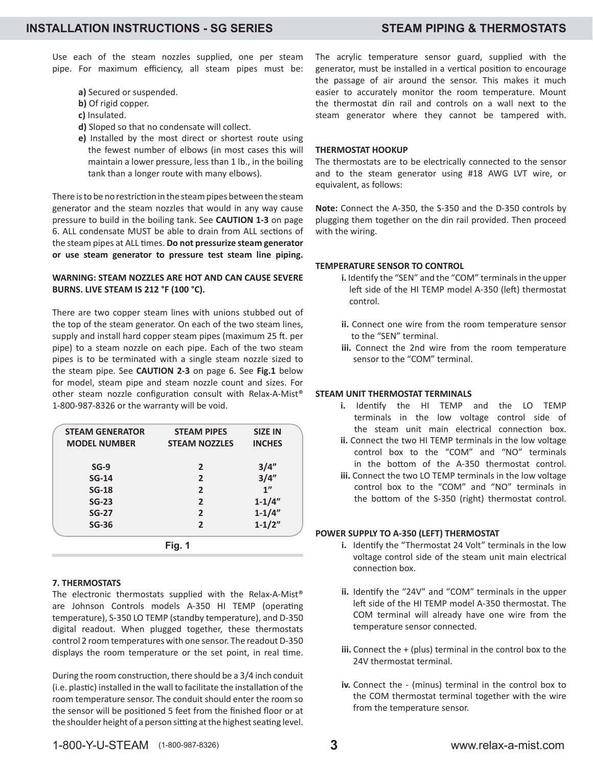Use each of the steam nozzles supplied, one per steam pipe. For maximum efficiency, all steam pipes must be:

- **a)** Secured or suspended.
- **b)** Of rigid copper.
- **c)** Insulated.
- **d)** Sloped so that no condensate will collect.
- **e)** Installed by the most direct or shortest route using the fewest number of elbows (in most cases this will maintain a lower pressure, less than 1 lb., in the boiling tank than a longer route with many elbows).

There is to be no restriction in the steam pipes between the steam generator and the steam nozzles that would in any way cause pressure to build in the boiling tank. See **CAUTION 1-3** on page 6. ALL condensate MUST be able to drain from ALL sections of the steam pipes at ALL times. Do not pressurize steam generator **or use steam generator to pressure test steam line piping.**

#### **WARNING: STEAM NOZZLES ARE HOT AND CAN CAUSE SEVERE BURNS. LIVE STEAM IS 212 °F (100 °C).**

There are two copper steam lines with unions stubbed out of the top of the steam generator. On each of the two steam lines, supply and install hard copper steam pipes (maximum 25 ft. per pipe) to a steam nozzle on each pipe. Each of the two steam pipes is to be terminated with a single steam nozzle sized to the steam pipe. See **CAUTION 2-3** on page 6. See **Fig.1** below for model, steam pipe and steam nozzle count and sizes. For other steam nozzle configuration consult with Relax-A-Mist® 1-800-987-8326 or the warranty will be void.

| <b>STEAM GENERATOR</b> | <b>STEAM PIPES</b>   | <b>SIZE IN</b> |
|------------------------|----------------------|----------------|
| <b>MODEL NUMBER</b>    | <b>STEAM NOZZLES</b> | <b>INCHES</b>  |
| $SG-9$                 | 2                    | 3/4"           |
| $SG-14$                | $\overline{2}$       | 3/4''          |
| $SG-18$                | $\overline{2}$       | 1"             |
| $SG-23$                | $\overline{2}$       | $1 - 1/4"$     |
| <b>SG-27</b>           | $\overline{2}$       | $1 - 1/4"$     |
| <b>SG-36</b>           | $\overline{2}$       | $1 - 1/2"$     |

#### **7. THERMOSTATS**

The electronic thermostats supplied with the Relax-A-Mist® are Johnson Controls models A-350 HI TEMP (operating temperature), S-350 LO TEMP (standby temperature), and D-350 digital readout. When plugged together, these thermostats control 2 room temperatures with one sensor. The readout D-350 displays the room temperature or the set point, in real time.

During the room construction, there should be a 3/4 inch conduit (i.e. plastic) installed in the wall to facilitate the installation of the room temperature sensor. The conduit should enter the room so the sensor will be positioned 5 feet from the finished floor or at the shoulder height of a person sitting at the highest seating level. The acrylic temperature sensor guard, supplied with the generator, must be installed in a vertical position to encourage the passage of air around the sensor. This makes it much easier to accurately monitor the room temperature. Mount the thermostat din rail and controls on a wall next to the steam generator where they cannot be tampered with.

#### **THERMOSTAT HOOKUP**

The thermostats are to be electrically connected to the sensor and to the steam generator using #18 AWG LVT wire, or equivalent, as follows:

**Note:** Connect the A-350, the S-350 and the D-350 controls by plugging them together on the din rail provided. Then proceed with the wiring.

#### **TEMPERATURE SENSOR TO CONTROL**

- **i.** Identify the "SEN" and the "COM" terminals in the upper left side of the HI TEMP model A-350 (left) thermostat control.
- **ii.** Connect one wire from the room temperature sensor to the "SEN" terminal.
- **iii.** Connect the 2nd wire from the room temperature sensor to the "COM" terminal.

#### **STEAM UNIT THERMOSTAT TERMINALS**

- **i.** Identify the HI TEMP and the LO TEMP terminals in the low voltage control side of the steam unit main electrical connection box.
- **ii.** Connect the two HI TEMP terminals in the low voltage control box to the "COM" and "NO" terminals in the bottom of the A-350 thermostat control.
- **iii.** Connect the two LO TEMP terminals in the low voltage control box to the "COM" and "NO" terminals in the bottom of the S-350 (right) thermostat control.

#### **POWER SUPPLY TO A-350 (LEFT) THERMOSTAT**

- **i.** Identify the "Thermostat 24 Volt" terminals in the low voltage control side of the steam unit main electrical connection box.
- ii. Identify the "24V" and "COM" terminals in the upper left side of the HI TEMP model A-350 thermostat. The COM terminal will already have one wire from the temperature sensor connected.
- **iii.** Connect the + (plus) terminal in the control box to the 24V thermostat terminal.
- **iv.** Connect the (minus) terminal in the control box to the COM thermostat terminal together with the wire from the temperature sensor.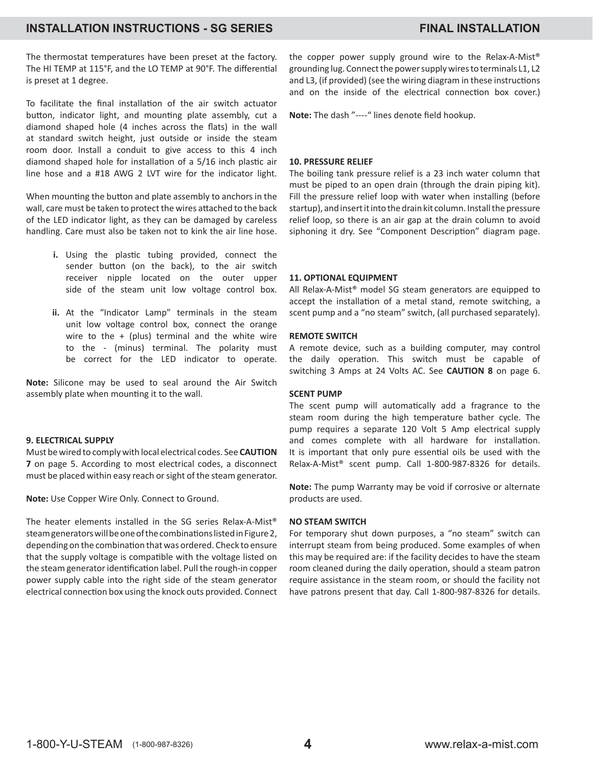### **INSTALLATION INSTRUCTIONS - SG SERIES FINAL INSTALLATION**

The thermostat temperatures have been preset at the factory. The HI TEMP at 115°F, and the LO TEMP at 90°F. The differential is preset at 1 degree.

To facilitate the final installation of the air switch actuator button, indicator light, and mounting plate assembly, cut a diamond shaped hole (4 inches across the flats) in the wall at standard switch height, just outside or inside the steam room door. Install a conduit to give access to this 4 inch diamond shaped hole for installation of a 5/16 inch plastic air line hose and a #18 AWG 2 LVT wire for the indicator light.

When mounting the button and plate assembly to anchors in the wall, care must be taken to protect the wires attached to the back of the LED indicator light, as they can be damaged by careless handling. Care must also be taken not to kink the air line hose.

- **i.** Using the plastic tubing provided, connect the sender button (on the back), to the air switch receiver nipple located on the outer upper side of the steam unit low voltage control box.
- **ii.** At the "Indicator Lamp" terminals in the steam unit low voltage control box, connect the orange wire to the  $+$  (plus) terminal and the white wire to the - (minus) terminal. The polarity must be correct for the LED indicator to operate.

**Note:** Silicone may be used to seal around the Air Switch assembly plate when mounting it to the wall.

#### **9. ELECTRICAL SUPPLY**

Must be wired to comply with local electrical codes. See **CAUTION 7** on page 5. According to most electrical codes, a disconnect must be placed within easy reach or sight of the steam generator.

**Note:** Use Copper Wire Only. Connect to Ground.

The heater elements installed in the SG series Relax-A-Mist® steam generators will be one of the combinations listed in Figure 2, depending on the combination that was ordered. Check to ensure that the supply voltage is compatible with the voltage listed on the steam generator identification label. Pull the rough-in copper power supply cable into the right side of the steam generator electrical connection box using the knock outs provided. Connect the copper power supply ground wire to the Relax-A-Mist® grounding lug. Connect the power supply wires to terminals L1, L2 and L3, (if provided) (see the wiring diagram in these instructions and on the inside of the electrical connection box cover.)

Note: The dash "----" lines denote field hookup.

#### **10. PRESSURE RELIEF**

The boiling tank pressure relief is a 23 inch water column that must be piped to an open drain (through the drain piping kit). Fill the pressure relief loop with water when installing (before startup), and insert it into the drain kit column. Install the pressure relief loop, so there is an air gap at the drain column to avoid siphoning it dry. See "Component Description" diagram page.

#### **11. OPTIONAL EQUIPMENT**

All Relax-A-Mist® model SG steam generators are equipped to accept the installation of a metal stand, remote switching, a scent pump and a "no steam" switch, (all purchased separately).

#### **REMOTE SWITCH**

A remote device, such as a building computer, may control the daily operation. This switch must be capable of switching 3 Amps at 24 Volts AC. See **CAUTION 8** on page 6.

#### **SCENT PUMP**

The scent pump will automatically add a fragrance to the steam room during the high temperature bather cycle. The pump requires a separate 120 Volt 5 Amp electrical supply and comes complete with all hardware for installation. It is important that only pure essential oils be used with the Relax-A-Mist® scent pump. Call 1-800-987-8326 for details.

**Note:** The pump Warranty may be void if corrosive or alternate products are used.

#### **NO STEAM SWITCH**

For temporary shut down purposes, a "no steam" switch can interrupt steam from being produced. Some examples of when this may be required are: if the facility decides to have the steam room cleaned during the daily operation, should a steam patron require assistance in the steam room, or should the facility not have patrons present that day. Call 1-800-987-8326 for details.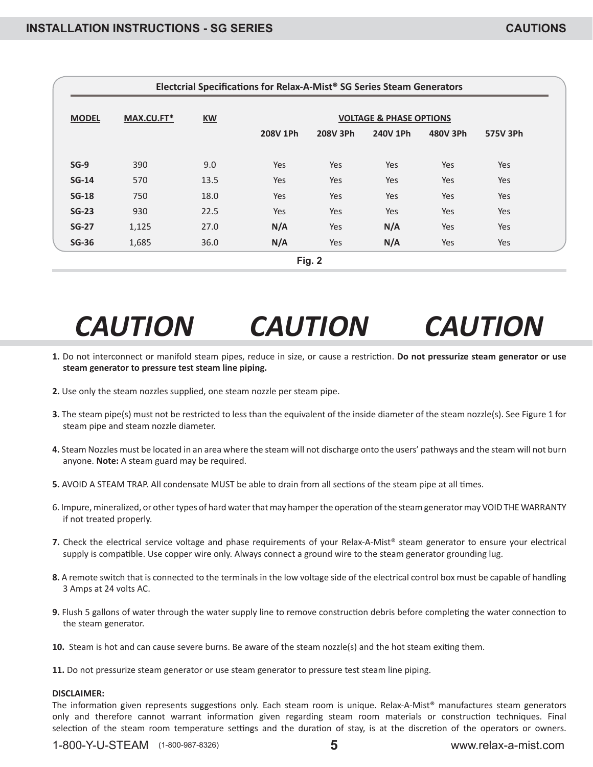| Electcrial Specifications for Relax-A-Mist <sup>®</sup> SG Series Steam Generators |            |           |                                    |          |          |          |          |  |  |  |
|------------------------------------------------------------------------------------|------------|-----------|------------------------------------|----------|----------|----------|----------|--|--|--|
| <b>MODEL</b>                                                                       | MAX.CU.FT* | <b>KW</b> | <b>VOLTAGE &amp; PHASE OPTIONS</b> |          |          |          |          |  |  |  |
|                                                                                    |            |           | 208V 1Ph                           | 208V 3Ph | 240V 1Ph | 480V 3Ph | 575V 3Ph |  |  |  |
| $SG-9$                                                                             | 390        | 9.0       | Yes                                | Yes      | Yes      | Yes      | Yes      |  |  |  |
| $SG-14$                                                                            | 570        | 13.5      | Yes                                | Yes      | Yes      | Yes      | Yes      |  |  |  |
| $SG-18$                                                                            | 750        | 18.0      | Yes                                | Yes      | Yes      | Yes      | Yes      |  |  |  |
| $SG-23$                                                                            | 930        | 22.5      | Yes                                | Yes      | Yes      | Yes      | Yes      |  |  |  |
| $SG-27$                                                                            | 1,125      | 27.0      | N/A                                | Yes      | N/A      | Yes      | Yes      |  |  |  |
| $SG-36$                                                                            | 1,685      | 36.0      | N/A                                | Yes      | N/A      | Yes      | Yes      |  |  |  |

# *CAUTION CAUTION CAUTION*

- 1. Do not interconnect or manifold steam pipes, reduce in size, or cause a restriction. Do not pressurize steam generator or use **steam generator to pressure test steam line piping.**
- **2.** Use only the steam nozzles supplied, one steam nozzle per steam pipe.
- **3.** The steam pipe(s) must not be restricted to less than the equivalent of the inside diameter of the steam nozzle(s). See Figure 1 for steam pipe and steam nozzle diameter.
- **4.** Steam Nozzles must be located in an area where the steam will not discharge onto the users' pathways and the steam will not burn anyone. **Note:** A steam guard may be required.
- **5.** AVOID A STEAM TRAP. All condensate MUST be able to drain from all sections of the steam pipe at all times.
- 6. Impure, mineralized, or other types of hard water that may hamper the operation of the steam generator may VOID THE WARRANTY if not treated properly.
- **7.** Check the electrical service voltage and phase requirements of your Relax-A-Mist® steam generator to ensure your electrical supply is compatible. Use copper wire only. Always connect a ground wire to the steam generator grounding lug.
- **8.** A remote switch that is connected to the terminals in the low voltage side of the electrical control box must be capable of handling 3 Amps at 24 volts AC.
- **9.** Flush 5 gallons of water through the water supply line to remove construction debris before completing the water connection to the steam generator.
- **10.** Steam is hot and can cause severe burns. Be aware of the steam nozzle(s) and the hot steam exiting them.
- **11.** Do not pressurize steam generator or use steam generator to pressure test steam line piping.

#### **DISCLAIMER:**

The information given represents suggestions only. Each steam room is unique. Relax-A-Mist<sup>®</sup> manufactures steam generators only and therefore cannot warrant information given regarding steam room materials or construction techniques. Final selection of the steam room temperature settings and the duration of stay, is at the discretion of the operators or owners.

1-800-Y-U-STEAM (1-800-987-8326) **5** www.relax-a-mist.com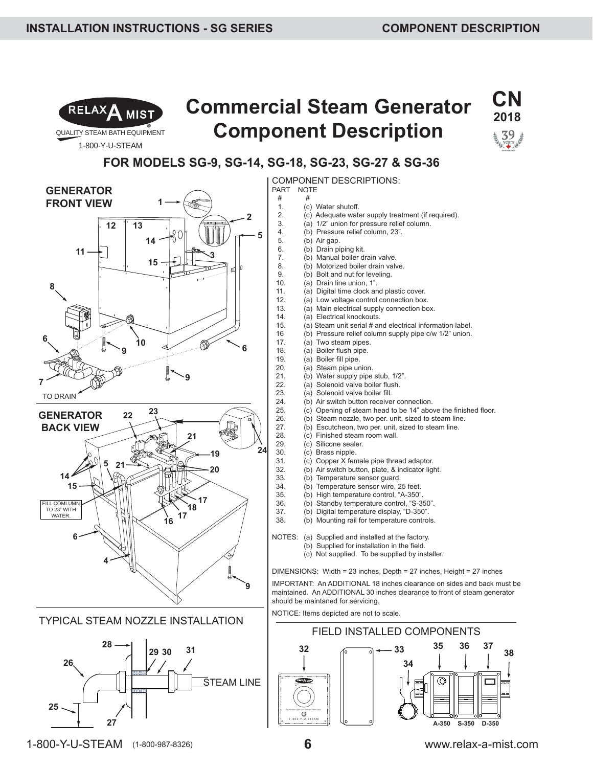

1-800-Y-U-STEAM

# **Commercial Steam Generator Component Description**



### **FOR MODELS SG-9, SG-14, SG-18, SG-23, SG-27 & SG-36**

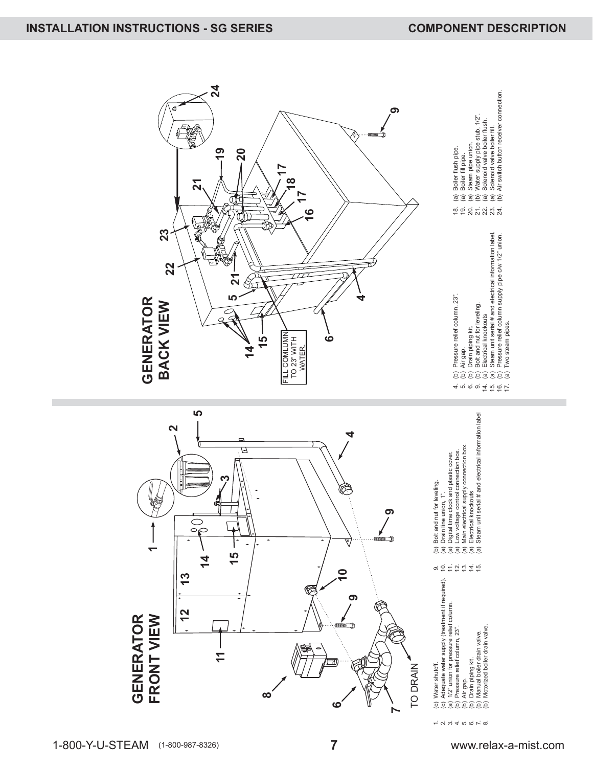